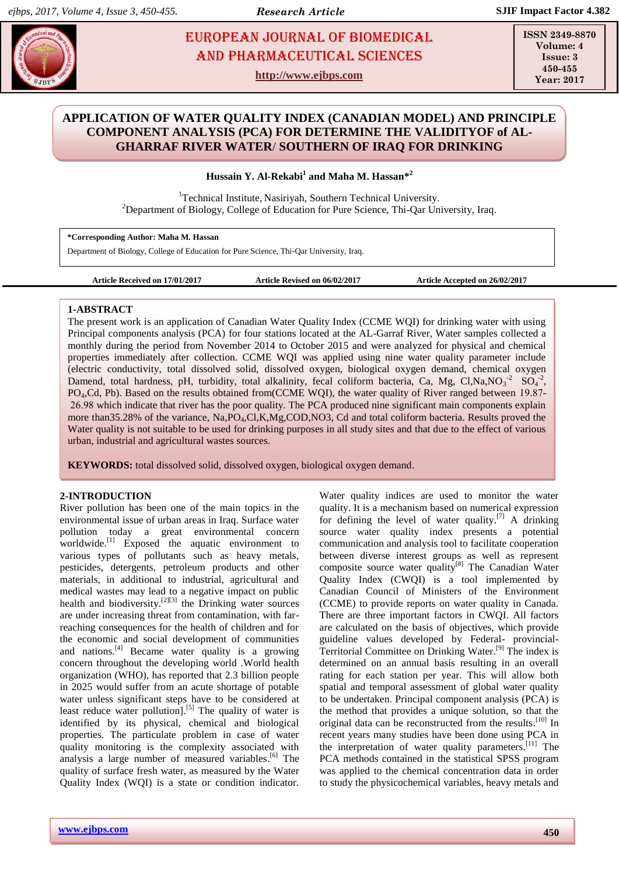# **Hassan** *European Gournal of Biomedical* **And Pharmaceutical Sciences</mark>** European Journal of Biomedical AND Pharmaceutical sciences

**http://www.ejbps.com**

**ISSN 2349-8870 Volume: 4 Issue: 3 450-455 Year: 2017**

# **APPLICATION OF WATER QUALITY INDEX (CANADIAN MODEL) AND PRINCIPLE COMPONENT ANALYSIS (PCA) FOR DETERMINE THE VALIDITYOF of AL-GHARRAF RIVER WATER**/ **SOUTHERN OF IRAQ FOR DRINKING**

**Hussain Y. Al-Rekabi<sup>1</sup> and Maha M. Hassan\* 2**

<sup>1</sup>Technical Institute, Nasiriyah, Southern Technical University. <sup>2</sup>Department of Biology, College of Education for Pure Science, Thi-Qar University, Iraq.

**\*Corresponding Author: Maha M. Hassan**

Department of Biology, College of Education for Pure Science, Thi-Qar University, Iraq.

**Article Received on 17/01/2017 Article Revised on 06/02/2017 Article Accepted on 26/02/2017**

### **1-ABSTRACT**

The present work is an application of Canadian Water Quality Index (CCME WQI) for drinking water with using Principal components analysis (PCA) for four stations located at the AL-Garraf River, Water samples collected a monthly during the period from November 2014 to October 2015 and were analyzed for physical and chemical properties immediately after collection. CCME WQI was applied using nine water quality parameter include (electric conductivity, total dissolved solid, dissolved oxygen, biological oxygen demand, chemical oxygen Damend, total hardness, pH, turbidity, total alkalinity, fecal coliform bacteria, Ca, Mg, Cl,Na,NO<sub>3</sub><sup>-2</sup> SO<sub>4</sub><sup>-2</sup>, PO<sub>4</sub>,Cd, Pb). Based on the results obtained from(CCME WOI), the water quality of River ranged between 19.87-89.89 which indicate that river has the poor quality. The PCA produced nine significant main components explain more than35.28% of the variance, Na,PO<sub>4</sub>,Cl,K,Mg,COD,NO3, Cd and total coliform bacteria. Results proved the Water quality is not suitable to be used for drinking purposes in all study sites and that due to the effect of various urban, industrial and agricultural wastes sources.

**KEYWORDS:** total dissolved solid, dissolved oxygen, biological oxygen demand.

## **2-INTRODUCTION**

River pollution has been one of the main topics in the environmental issue of urban areas in Iraq. Surface water pollution today a great environmental concern worldwide.<sup>[1]</sup> Exposed the aquatic environment to various types of pollutants such as heavy metals, pesticides, detergents, petroleum products and other materials, in additional to industrial, agricultural and medical wastes may lead to a negative impact on public health and biodiversity.<sup>[2][3]</sup> the Drinking water sources are under increasing threat from contamination, with farreaching consequences for the health of children and for the economic and social development of communities and nations.<sup>[4]</sup> Became water quality is a growing concern throughout the developing world .World health organization (WHO), has reported that 2.3 billion people in 2025 would suffer from an acute shortage of potable water unless significant steps have to be considered at least reduce water pollution].<sup>[5]</sup> The quality of water is identified by its physical, chemical and biological properties. The particulate problem in case of water quality monitoring is the complexity associated with analysis a large number of measured variables.<sup>[6]</sup> The quality of surface fresh water, as measured by the Water Quality Index (WQI) is a state or condition indicator.

Water quality indices are used to monitor the water quality. It is a mechanism based on numerical expression for defining the level of water quality.<sup>[7]</sup> A drinking source water quality index presents a potential communication and analysis tool to facilitate cooperation between diverse interest groups as well as represent composite source water quality $^{[8]}$  The Canadian Water Quality Index (CWQI) is a tool implemented by Canadian Council of Ministers of the Environment (CCME) to provide reports on water quality in Canada. There are three important factors in CWQI. All factors are calculated on the basis of objectives, which provide guideline values developed by Federal- provincial-Territorial Committee on Drinking Water.<sup>[9]</sup> The index is determined on an annual basis resulting in an overall rating for each station per year. This will allow both spatial and temporal assessment of global water quality to be undertaken. Principal component analysis (PCA) is the method that provides a unique solution, so that the original data can be reconstructed from the results.<sup>[10]</sup> In recent years many studies have been done using PCA in the interpretation of water quality parameters. $[11]$  The PCA methods contained in the statistical SPSS program was applied to the chemical concentration data in order to study the physicochemical variables, heavy metals and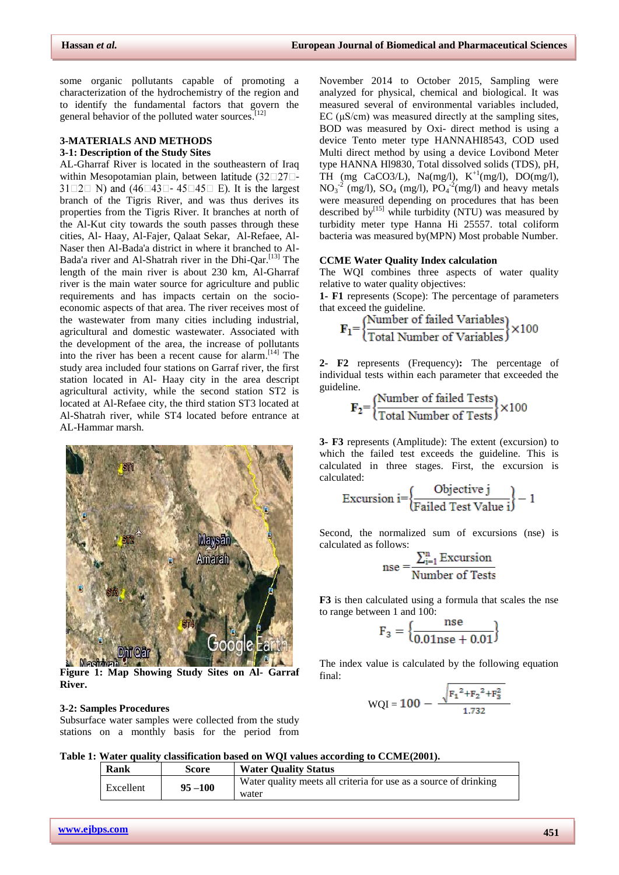some organic pollutants capable of promoting a characterization of the hydrochemistry of the region and to identify the fundamental factors that govern the general behavior of the polluted water sources.<sup>[12]</sup>

#### **3-MATERIALS AND METHODS 3-1: Description of the Study Sites**

AL-Gharraf River is located in the southeastern of Iraq within Mesopotamian plain, between latitude  $(32\Box 27\Box -$ 31 $\Box$ 2 $\Box$  N) and (46 $\Box$ 43 $\Box$ -45 $\Box$ 45 $\Box$  E). It is the largest branch of the Tigris River, and was thus derives its properties from the Tigris River. It branches at north of the Al-Kut city towards the south passes through these cities, Al- Haay, Al-Fajer, Qalaat Sekar, Al-Refaee, Al-Naser then Al-Bada'a district in where it branched to Al-Bada'a river and Al-Shatrah river in the Dhi-Qar.<sup>[13]</sup> The length of the main river is about 230 km, Al-Gharraf river is the main water source for agriculture and public requirements and has impacts certain on the socioeconomic aspects of that area. The river receives most of the wastewater from many cities including industrial, agricultural and domestic wastewater. Associated with the development of the area, the increase of pollutants into the river has been a recent cause for alarm. [14] The study area included four stations on Garraf river, the first station located in Al- Haay city in the area descript agricultural activity, while the second station ST2 is located at Al-Refaee city, the third station ST3 located at Al-Shatrah river, while ST4 located before entrance at AL-Hammar marsh.



**Figure 1: Map Showing Study Sites on Al- Garraf River.**

#### **3-2: Samples Procedures**

Subsurface water samples were collected from the study stations on a monthly basis for the period from

November 2014 to October 2015, Sampling were analyzed for physical, chemical and biological. It was measured several of environmental variables included, EC  $(\mu S/cm)$  was measured directly at the sampling sites, BOD was measured by Oxi- direct method is using a device Tento meter type HANNAHI8543, COD used Multi direct method by using a device Lovibond Meter type HANNA Hl9830, Total dissolved solids (TDS), pH, TH (mg CaCO3/L), Na(mg/l),  $K^{+1}(mg/l)$ , DO(mg/l),  $NO<sub>3</sub><sup>-2</sup>$  (mg/l),  $SO<sub>4</sub>$  (mg/l),  $PO<sub>4</sub><sup>-2</sup>$ (mg/l) and heavy metals were measured depending on procedures that has been described by $^{[15]}$  while turbidity (NTU) was measured by turbidity meter type Hanna Hi 25557. total coliform bacteria was measured by(MPN) Most probable Number.

### **CCME Water Quality Index calculation**

The WOI combines three aspects of water quality relative to water quality objectives:

**1- F1** represents (Scope): The percentage of parameters that exceed the guideline.

$$
\mathbf{F}_1 = \left\{ \frac{\text{Number of tailed Variables}}{\text{Total Number of Variables}} \right\} \times 100
$$

**2- F2** represents (Frequency)**:** The percentage of individual tests within each parameter that exceeded the guideline.

$$
\mathbf{F}_2 = \left\{ \frac{\text{Number of failed Tests}}{\text{Total Number of Tests}} \right\} \times 100
$$

**3- F3** represents (Amplitude): The extent (excursion) to which the failed test exceeds the guideline. This is calculated in three stages. First, the excursion is calculated:

$$
Excursion i = \left\{ \frac{Objective j}{Failed Test Value i} \right\} - 1
$$

Second, the normalized sum of excursions (nse) is calculated as follows:

nse = 
$$
\frac{\sum_{i=1}^{n} Excursion}{Number of Tests}
$$

**F3** is then calculated using a formula that scales the nse to range between 1 and 100:

$$
F_3 = \left\{ \frac{\text{nse}}{0.01 \text{nse} + 0.01} \right\}
$$

The index value is calculated by the following equation final:

$$
WQI = 100 - \frac{\sqrt{F_1^2 + F_2^2 + F_3^2}}{1.732}
$$

**Table 1: Water quality classification based on WQI values according to CCME(2001).**

| Rank      | <b>Score</b> | <b>Water Quality Status</b>                                      |
|-----------|--------------|------------------------------------------------------------------|
| Excellent | $95 - 100$   | Water quality meets all criteria for use as a source of drinking |
|           |              | water                                                            |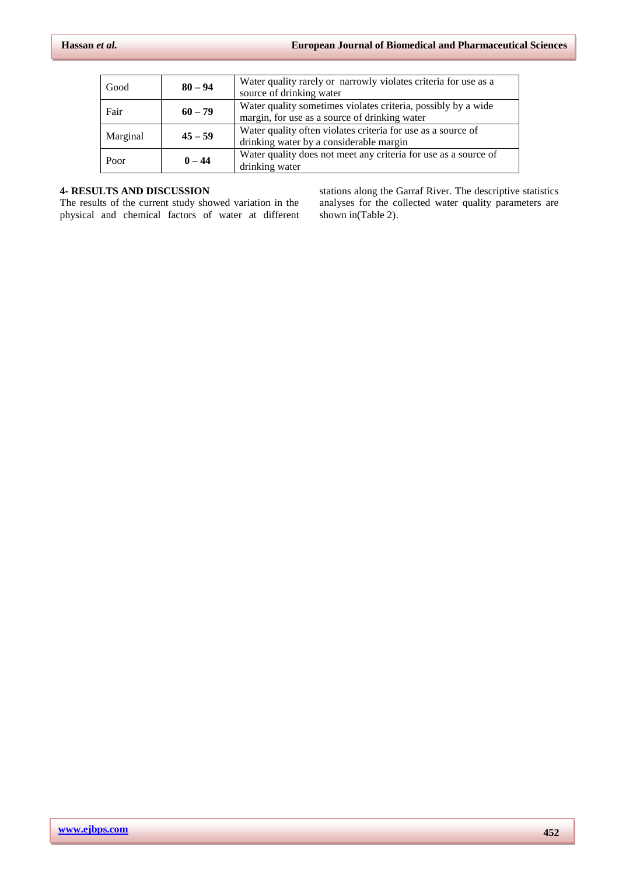| Good     | $80 - 94$ | Water quality rarely or narrowly violates criteria for use as a |  |  |  |  |  |
|----------|-----------|-----------------------------------------------------------------|--|--|--|--|--|
|          |           | source of drinking water                                        |  |  |  |  |  |
| Fair     | $60 - 79$ | Water quality sometimes violates criteria, possibly by a wide   |  |  |  |  |  |
|          |           | margin, for use as a source of drinking water                   |  |  |  |  |  |
| Marginal | $45 - 59$ | Water quality often violates criteria for use as a source of    |  |  |  |  |  |
|          |           | drinking water by a considerable margin                         |  |  |  |  |  |
| Poor     | $0 - 44$  | Water quality does not meet any criteria for use as a source of |  |  |  |  |  |
|          |           | drinking water                                                  |  |  |  |  |  |

## **4- RESULTS AND DISCUSSION**

The results of the current study showed variation in the physical and chemical factors of water at different

stations along the Garraf River. The descriptive statistics analyses for the collected water quality parameters are shown in(Table 2).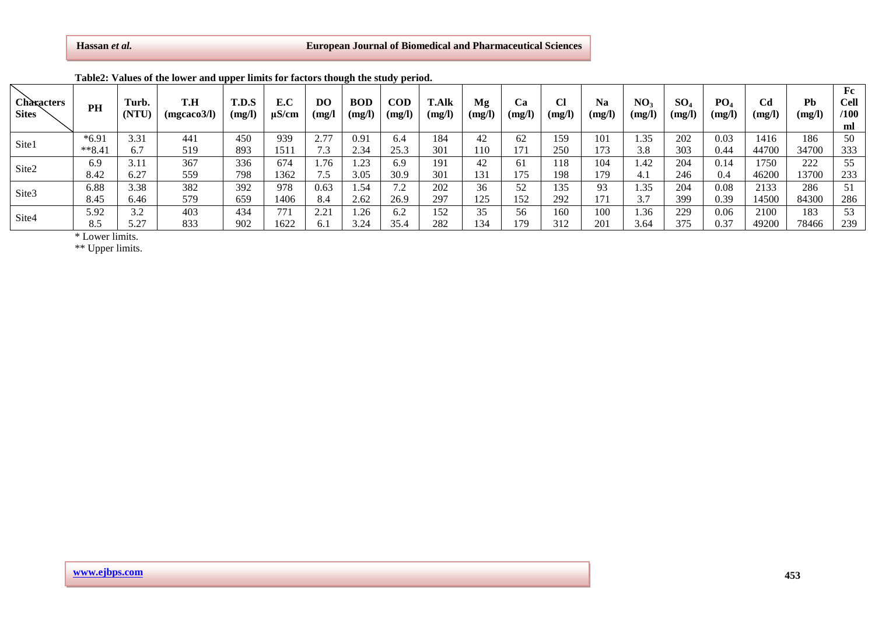| <b>Characters</b><br><b>Sites</b> | <b>PH</b> | Turb.<br>(NTU | T.H<br>(mgcaco3/l) | T.D.S<br>(mg/l) | E.C<br>$\mu$ S/cm | D <sub>O</sub><br>(mg/l | <b>BOD</b><br>(mg/l) | COD<br>(mg/l) | <b>T.Alk</b><br>(mg/l) | Mg<br>(mg/l) | Ca<br>(mg/I) | <b>Cl</b><br>(mg/l) | <b>Na</b><br>(mg/l) | NO <sub>3</sub><br>(mg/l) | $\mathrm{SO}_4$<br>$\langle$ mg/l | PO <sub>4</sub><br>(mg/l) | C <sub>d</sub><br>(mg/l) | Pb<br>(mg/l) | Fc<br><b>Cell</b><br>/100<br>ml |
|-----------------------------------|-----------|---------------|--------------------|-----------------|-------------------|-------------------------|----------------------|---------------|------------------------|--------------|--------------|---------------------|---------------------|---------------------------|-----------------------------------|---------------------------|--------------------------|--------------|---------------------------------|
| Site1                             | $*6.91$   | 3.3           | 441                | 450             | 939               | 2.77                    | 0.91                 | 6.4           | 184                    | 42           | 62           | 159                 | 101                 | 1.35                      | 202                               | 0.03                      | 1416                     | 186          | 50                              |
|                                   | $*8.41$   |               | 519                | 893             | 1511              | 7.3                     | 2.34                 | 25.3          | 301                    | 110          | 171          | 250                 | 173                 | 3.8                       | 303                               | 0.44                      | 44700                    | 34700        | 333                             |
| Site2                             | 6.9       | 3.11          | 367                | 336             | 674               | 1.76                    | .23                  | 6.9           | 191                    | 42           | 61           | 118                 | 104                 | 1.42                      | 204                               | 0.14                      | 1750                     | 222          | 55                              |
|                                   | 8.42      | 6.27          | 559                | 798             | 362               | 7.5                     | 3.05                 | 30.9          | 301                    | 131          | 175          | 198                 | 179                 | 4.1                       | 246                               | 0.4                       | 46200                    | 13700        | 233                             |
| Site3                             | 6.88      | 3.38          | 382                | 392             | 978               | 0.63                    | .54                  | 7.2           | 202                    | 36           | 52           | 135                 | 93                  | .35                       | 204                               | 0.08                      | 2133                     | 286          | 51                              |
|                                   | 8.45      | 6.46          | 579                | 659             | 1406              | 8.4                     | 2.62                 | 26.9          | 297                    | 125          | 152          | 292                 | 171                 | 3.7                       | 399                               | 0.39                      | 14500                    | 84300        | 286                             |
| Site4                             | 5.92      | 3.2           | 403                | 434             | 771               | 2.21                    | .26                  | 6.2           | 152                    | 35           | 56           | 160                 | 100                 | 1.36                      | 229                               | 0.06                      | 2100                     | 183          | 53                              |
|                                   | 8.5       | 5.27          | 833                | 902             | 1622              | 6.1                     | 3.24                 | 35.4          | 282                    | 134          | 179          | 312                 | 201                 | 3.64                      | 375                               | 0.37                      | 49200                    | 78466        | 239                             |

**Table2: Values of the lower and upper limits for factors though the study period.**

\* Lower limits.

\*\* Upper limits.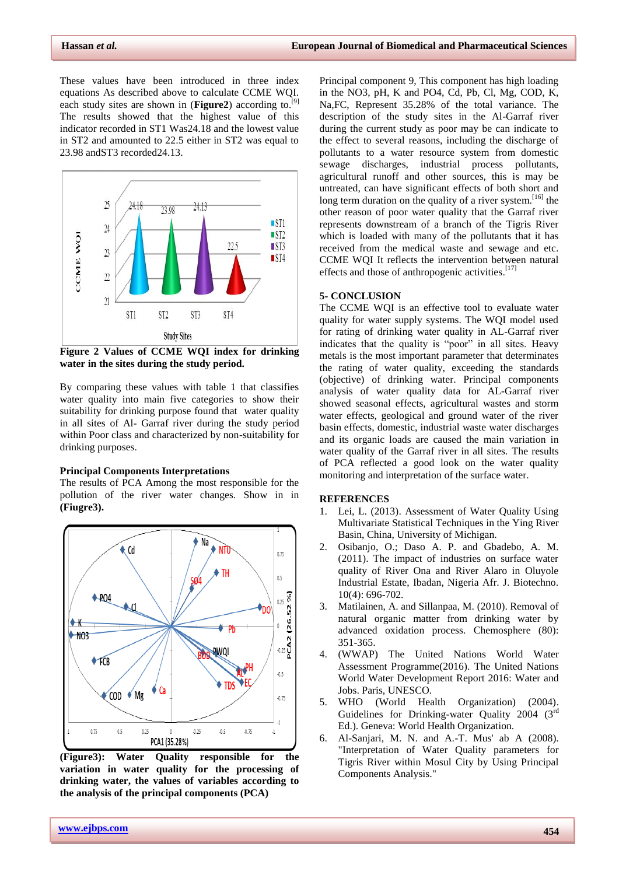These values have been introduced in three index equations As described above to calculate CCME WQI. each study sites are shown in (**Figure2**) according to.<sup>[9]</sup> The results showed that the highest value of this indicator recorded in ST1 Was24.18 and the lowest value in ST2 and amounted to 22.5 either in ST2 was equal to 23.98 andST3 recorded24.13.



**Figure 2 Values of CCME WQI index for drinking water in the sites during the study period.**

By comparing these values with table 1 that classifies water quality into main five categories to show their suitability for drinking purpose found that water quality in all sites of Al- Garraf river during the study period within Poor class and characterized by non-suitability for drinking purposes.

#### **Principal Components Interpretations**

The results of PCA Among the most responsible for the pollution of the river water changes. Show in in **(Fiugre3).**



**(Figure3): Water Quality responsible for the variation in water quality for the processing of drinking water, the values of variables according to the analysis of the principal components (PCA)** 

Principal component 9, This component has high loading in the NO3, pH, K and PO4, Cd, Pb, Cl, Mg, COD, K, Na,FC, Represent 35.28% of the total variance. The description of the study sites in the Al-Garraf river during the current study as poor may be can indicate to the effect to several reasons, including the discharge of pollutants to a water resource system from domestic sewage discharges, industrial process pollutants, agricultural runoff and other sources, this is may be untreated, can have significant effects of both short and long term duration on the quality of a river system.<sup>[16]</sup> the other reason of poor water quality that the Garraf river represents downstream of a branch of the Tigris River which is loaded with many of the pollutants that it has received from the medical waste and sewage and etc. CCME WQI It reflects the intervention between natural effects and those of anthropogenic activities.<sup>[17]</sup>

## **5- CONCLUSION**

The CCME WQI is an effective tool to evaluate water quality for water supply systems. The WQI model used for rating of drinking water quality in AL-Garraf river indicates that the quality is "poor" in all sites. Heavy metals is the most important parameter that determinates the rating of water quality, exceeding the standards (objective) of drinking water. Principal components analysis of water quality data for AL-Garraf river showed seasonal effects, agricultural wastes and storm water effects, geological and ground water of the river basin effects, domestic, industrial waste water discharges and its organic loads are caused the main variation in water quality of the Garraf river in all sites. The results of PCA reflected a good look on the water quality monitoring and interpretation of the surface water.

#### **REFERENCES**

- 1. Lei, L. (2013). Assessment of Water Quality Using Multivariate Statistical Techniques in the Ying River Basin, China, University of Michigan.
- 2. Osibanjo, O.; Daso A. P. and Gbadebo, A. M. (2011). The impact of industries on surface water quality of River Ona and River Alaro in Oluyole Industrial Estate, Ibadan, Nigeria Afr. J. Biotechno. 10(4): 696-702.
- Matilainen, A. and Sillanpaa, M. (2010). Removal of natural organic matter from drinking water by advanced oxidation process. Chemosphere (80): 351-365.
- 4. (WWAP) The United Nations World Water Assessment Programme(2016). The United Nations World Water Development Report 2016: Water and Jobs. Paris, UNESCO*.*
- 5. WHO (World Health Organization) (2004). Guidelines for Drinking-water Quality 2004 (3<sup>rd</sup>) Ed.). Geneva: World Health Organization.
- 6. Al-Sanjari, M. N. and A.-T. Mus' ab A (2008). "Interpretation of Water Quality parameters for Tigris River within Mosul City by Using Principal Components Analysis."